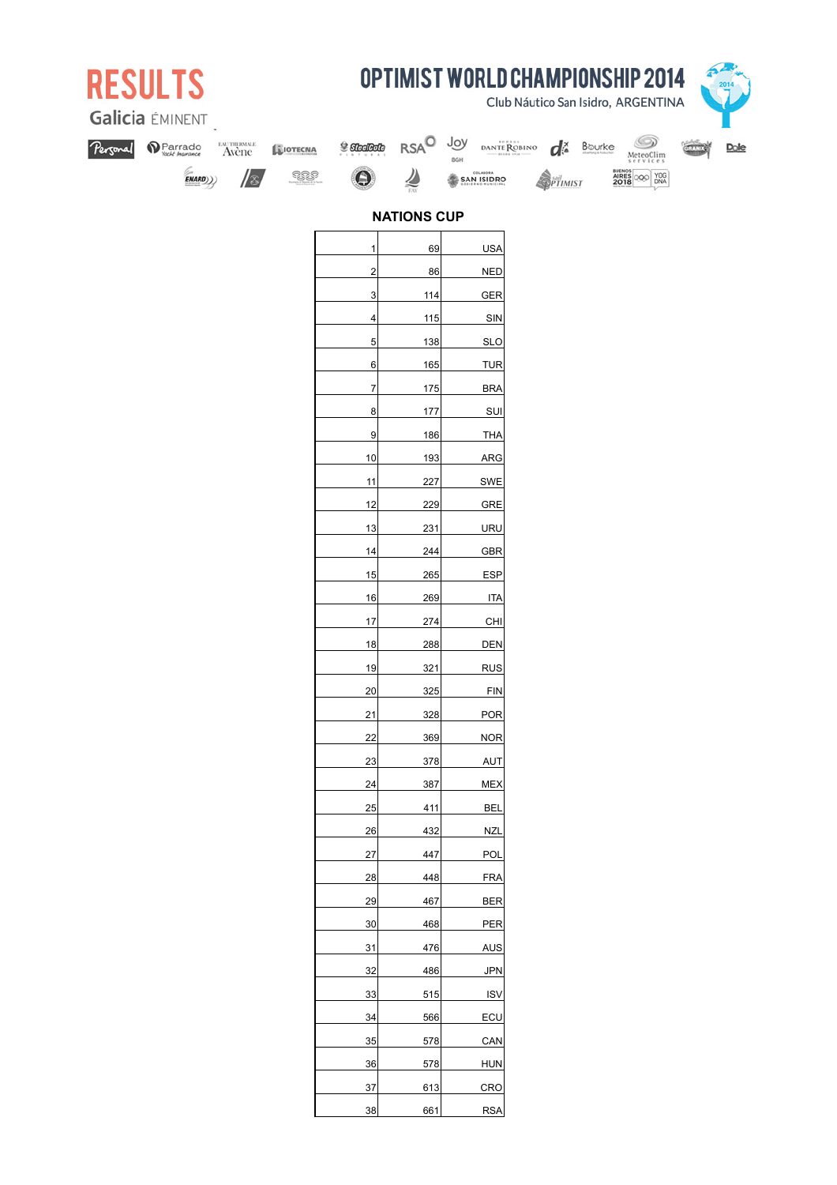| <b>OPTIMIST WORLD CHAMPIONSHIP 2014</b><br><b>RESULTS</b><br>Club Náutico San Isidro, ARGENTINA<br>Galicia ÉMINENT |         |           |                 |                       |             |                                      |                   |        |                                                    |      |  |
|--------------------------------------------------------------------------------------------------------------------|---------|-----------|-----------------|-----------------------|-------------|--------------------------------------|-------------------|--------|----------------------------------------------------|------|--|
| Personal                                                                                                           | Parrado | ENTHENNIE | <b>SIOTECNA</b> | <b>y SteelBole</b>    | <b>RSAO</b> | Joy                                  | DANTE ROBINO<br>ď | Bourke |                                                    | 7.11 |  |
|                                                                                                                    | ENARD)) | //&       | SIS.            | $\boldsymbol{\Theta}$ | 舎           | OGH<br>COLABORA<br><b>SAN ISIDRO</b> |                   |        | MeteoClim<br>BUENOS<br>AIRES<br>2018<br>YOG<br>DNA |      |  |
|                                                                                                                    |         |           |                 |                       |             |                                      | PTIMIST           |        |                                                    |      |  |
| <b>NATIONS CUP</b>                                                                                                 |         |           |                 |                       |             |                                      |                   |        |                                                    |      |  |
|                                                                                                                    |         |           |                 | 1                     | 69          | <b>USA</b>                           |                   |        |                                                    |      |  |
|                                                                                                                    |         |           |                 | 2                     | 86          | <b>NED</b>                           |                   |        |                                                    |      |  |
|                                                                                                                    |         |           |                 | 3                     | 114         | <b>GER</b>                           |                   |        |                                                    |      |  |
|                                                                                                                    |         |           |                 | 4                     | 115         | SIN                                  |                   |        |                                                    |      |  |
|                                                                                                                    |         |           |                 | 5                     | 138         | <b>SLO</b>                           |                   |        |                                                    |      |  |
|                                                                                                                    |         |           |                 | 6                     | 165         | <b>TUR</b>                           |                   |        |                                                    |      |  |
|                                                                                                                    |         |           |                 | 7                     | 175         | <b>BRA</b>                           |                   |        |                                                    |      |  |
|                                                                                                                    |         |           |                 | 8                     | 177         | SUI                                  |                   |        |                                                    |      |  |
|                                                                                                                    |         |           |                 | 9                     | 186         | <b>THA</b>                           |                   |        |                                                    |      |  |
|                                                                                                                    |         |           |                 | 10                    | 193         | <b>ARG</b>                           |                   |        |                                                    |      |  |
|                                                                                                                    |         |           |                 | 11                    | 227         | SWE                                  |                   |        |                                                    |      |  |
|                                                                                                                    |         |           |                 | 12                    | 229         | <b>GRE</b>                           |                   |        |                                                    |      |  |
|                                                                                                                    |         |           |                 | 13                    | 231         | URU                                  |                   |        |                                                    |      |  |
|                                                                                                                    |         |           |                 | 14                    | 244         | <b>GBR</b>                           |                   |        |                                                    |      |  |
|                                                                                                                    |         |           |                 | 15                    | 265         | <b>ESP</b>                           |                   |        |                                                    |      |  |
|                                                                                                                    |         |           |                 | 16                    | 269         | <b>ITA</b>                           |                   |        |                                                    |      |  |
|                                                                                                                    |         |           |                 | 17                    | 274         | CHI                                  |                   |        |                                                    |      |  |
|                                                                                                                    |         |           |                 | 18                    | 288         | <b>DEN</b>                           |                   |        |                                                    |      |  |
|                                                                                                                    |         |           |                 | 19                    | 321         | <b>RUS</b>                           |                   |        |                                                    |      |  |
|                                                                                                                    |         |           |                 | 20                    | 325         | <b>FIN</b>                           |                   |        |                                                    |      |  |
|                                                                                                                    |         |           |                 | 21                    | 328         | <b>POR</b>                           |                   |        |                                                    |      |  |
|                                                                                                                    |         |           |                 | 22                    | 369         | <b>NOR</b>                           |                   |        |                                                    |      |  |
|                                                                                                                    |         |           |                 | 23                    | 378         | <b>AUT</b>                           |                   |        |                                                    |      |  |
|                                                                                                                    |         |           |                 | 24                    | 387         | <b>MEX</b>                           |                   |        |                                                    |      |  |
|                                                                                                                    |         |           |                 | 25                    | 411         | <b>BEL</b>                           |                   |        |                                                    |      |  |
|                                                                                                                    |         |           |                 | 26                    | 432         | <b>NZL</b>                           |                   |        |                                                    |      |  |
|                                                                                                                    |         |           |                 | $27\,$                | 447         | POL                                  |                   |        |                                                    |      |  |
|                                                                                                                    |         |           |                 | 28                    | 448         | <b>FRA</b>                           |                   |        |                                                    |      |  |
|                                                                                                                    |         |           |                 | 29                    | 467         | <b>BER</b>                           |                   |        |                                                    |      |  |
|                                                                                                                    |         |           |                 | 30                    | 468         | PER                                  |                   |        |                                                    |      |  |
|                                                                                                                    |         |           |                 | 31<br>32              | 476<br>486  | <b>AUS</b><br>JPN                    |                   |        |                                                    |      |  |
|                                                                                                                    |         |           |                 | 33                    | 515         | <b>ISV</b>                           |                   |        |                                                    |      |  |
|                                                                                                                    |         |           |                 | 34                    | 566         | ECU                                  |                   |        |                                                    |      |  |

35 578 CAN 36 578 HUN 37 613 CRO 661 RSA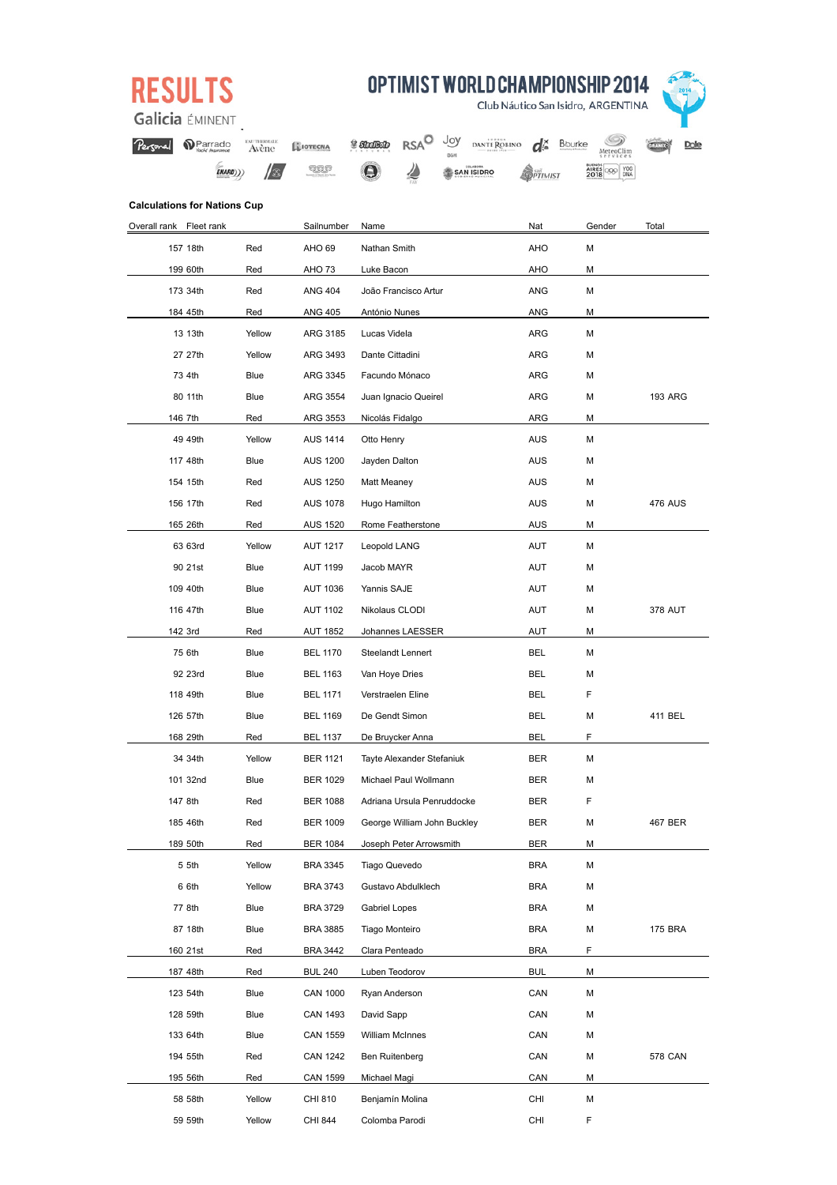|  | . . |  |
|--|-----|--|
|  |     |  |

OPTIMIST WORLD CHAMPIONSHIP 2014

Club Náutico San Isidro, ARGENTINA

**OPTIMIST** 

Nat

AHO

AHO

ANG

ANG

**ARG** 

ARG

ARG

**ARG** 

ARG

AUS

AUS

AUS

**AUS** 

**AUS** 

**AUT** 

**AUT** 

AUT

**AUT** 

**AUT** 

**BEL** 

**BFI** 

**BEL** 

**BEL** 

**BEL** 

**BER** 

**BER** 

**BER** 

**BER** 

**BER** 

**BRA** 

**BRA** 

**BRA** 

**BRA** 

**BRA** 

**BUL** 

CAN

 $CAN$ 

CAN

CAN

CAN

CHI

 $CHI$ 



Galicia EMINENT

**Calculations for Nations Cup** Overall rank Fleet rank

157 18th

199 60th

173 34th

184 45th

13 13th

27 27th

73 4th

80 11th

146 7th

49 49th

117 48th

154 15th

156 17th

165 26th

63 63rd

90 21st

109 40th

116 47th

142 3rd

75 6th

92 23rd

118 49th

126 57th

168 29th

34 34th

101 32nd

147 8th

185 46th

189 50th

5 5th

6 6th

77 8th

87 18th

160 21st

187 48th

123 54th

128 50th

133 64th

194 55th

195 56th

58 58th

59 59th

| nal | Parrado | EAUTHERMALE.<br>Avène | LUOTECNA |
|-----|---------|-----------------------|----------|
|     |         |                       |          |

**RSAO** Joy

ℤ

DANTE ROBINO **O** Bourke

SAN ISIDRO

MeteoClim

AIRES OOR TOG

Gender

 $\mathsf{M}% _{T}=\mathsf{M}_{T}\!\left( a,b\right) ,\ \mathsf{M}_{T}=\mathsf{M}_{T}$ 

M

M

M

M

 ${\sf M}$ 

 $\overline{M}$ 

M

M

M

M

 $\mathsf{M}$ 

M

M

M

M

 $\mathsf{M}$ 

M

M

 $\overline{M}$ 

M

F

M

 $\mathbf{r}$ 

M

M

F

M

M

 $\mathsf{M}$ 

M

M

M

 $\overline{F}$ 

 $M$ 

M

M

 $\overline{M}$ 

M

 $M$ 

M

E

Total

**PROPIO** 

**PROPIO** 

**PROPIO** 

**PROPIO** 

**WINNER** 

PROPIO<sub>3</sub> ARG

476 AUS

378 AUT

WINNER

WINNER1 BEL

467 BER

**175 BRA** 

**578 CAN** 

**PROPIO** 

**PROPIO** 

 $ENARD))$  $\sqrt{2}$ 

Red

Red

Red

Red

Yellow

Yellow

Blue

Blue

Red

Yellow

Blue

Red

Red

Red

Yellow

**Blue** 

Blue

Blue

Red

Blue

Blue

Blue

Blue

Red

Yellow

Blue

Red

Red

Red

Yellow

Yellow

Blue

Blue

Red

Red

Blue

Blue

Blue

Red

Red

Yellow

Yellow

Sailnumber

AHO<sub>69</sub>

AHO 73

**ANG 404** 

**ANG 405** 

ARG 3185

ARG 3493

ARG 3345

ARG 3554

ARG 3553

**AUS 1414** 

**AUS 1200** 

**AUS 1250** 

**AUS 1078** 

**AUS 1520** 

**AUT 1217** 

**AUT 1199** 

**AUT 1036** 

**AUT 1102** 

**AUT 1852** 

**BEL 1170** 

**BEL 1163** 

**BEL 1171** 

**BEL 1169** 

**BEL 1137** 

**BER 1121** 

**BER 1029** 

**BER 1088** 

**BER 1009** 

**BER 1084** 

**BRA 3345** 

**BRA 3743** 

**BRA 3729** 

**BRA 3885** 

**BRA 3442** 

**BUL 240** 

CAN 1000

CAN 1493

**CAN 1559** 

**CAN 1242** 

**CAN 1599** 

CHI 810

**CHI 844** 

 $$S<sub>ref</sub>$ 

Name

Nathan Smith

Luke Bacon

António Nunes

Lucas Videla

Dante Cittadini

Facundo Mónaco

Nicolás Fidalgo

Jayden Dalton

Matt Meaney

Hugo Hamilton

**Leopold LANG** 

Jacob MAYR

Yannis SAJE

Nikolaus CLODI

Johannes LAESSER

Steelandt Lennert

Van Hoye Dries

Verstraelen Eline

De Gendt Simon

De Bruycker Anna

Tayte Alexander Stefaniuk

Adriana Ursula Penruddocke

George William John Buckley

Joseph Peter Arrowsmith

Tiago Quevedo

Gabriel Lopes

**Tiago Monteiro** 

Clara Penteado

Luben Teodorov

Ryan Anderson

William McInnes

Ben Ruitenberg

Michael Magi

Benjamín Molina

Colomba Parodi

David Sapp

Gustavo Abdulklech

Michael Paul Wollmann

Rome Featherstone

Otto Henry

Juan Ignacio Queirel

João Francisco Artur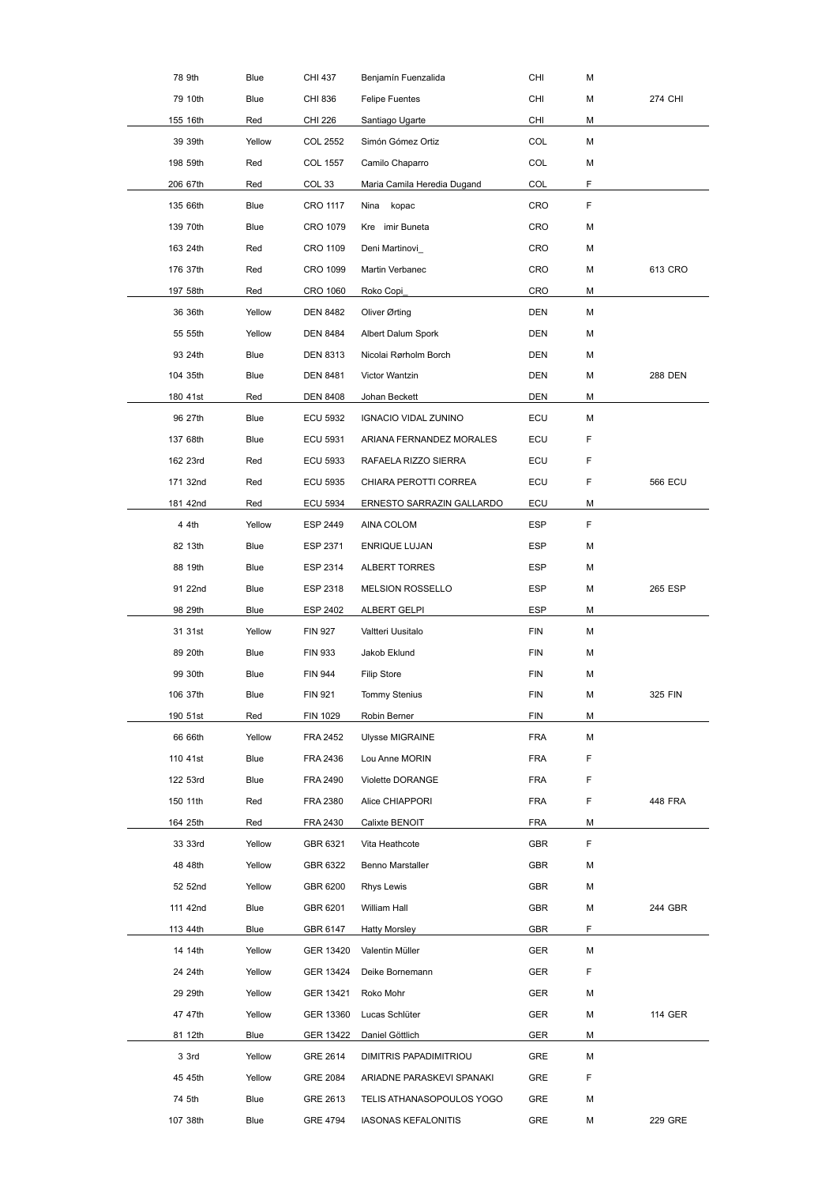| 78 9th   | Blue   | CHI 437         | Benjamín Fuenzalida         | CHI        | М  | <b>PROPIO</b>  |
|----------|--------|-----------------|-----------------------------|------------|----|----------------|
| 79 10th  | Blue   | CHI 836         | <b>Felipe Fuentes</b>       | CHI        | М  | PROPIO 4 CHI   |
| 155 16th | Red    | <b>CHI 226</b>  | Santiago Ugarte             | CHI        | М  | <b>PROPIO</b>  |
| 39 39th  | Yellow | <b>COL 2552</b> | Simón Gómez Ortiz           | COL        | М  |                |
| 198 59th | Red    | COL 1557        | Camilo Chaparro             | COL        | М  |                |
| 206 67th | Red    | COL 33          | Maria Camila Heredia Dugand | COL        | F  |                |
| 135 66th | Blue   | CRO 1117        | Nina kopac                  | CRO        | F  |                |
| 139 70th | Blue   | CRO 1079        | Kre imir Buneta             | CRO        | М  |                |
| 163 24th | Red    | CRO 1109        | Deni Martinovi              | CRO        | М  |                |
| 176 37th | Red    | CRO 1099        | Martin Verbanec             | CRO        | М  | 613 CRO        |
| 197 58th | Red    | CRO 1060        | Roko Copi                   | CRO        | М  |                |
| 36 36th  | Yellow | <b>DEN 8482</b> | Oliver Ørting               | DEN        | М  | <b>WINNER</b>  |
| 55 55th  | Yellow | <b>DEN 8484</b> | Albert Dalum Spork          | DEN        | М  | <b>WINNER</b>  |
| 93 24th  | Blue   | <b>DEN 8313</b> | Nicolai Rørholm Borch       | <b>DEN</b> | М  |                |
| 104 35th | Blue   | <b>DEN 8481</b> | Victor Wantzin              | DEN        | М  | WINNER88 DEN   |
| 180 41st | Red    | <b>DEN 8408</b> | Johan Beckett               | DEN        | М  | <b>WINNER</b>  |
| 96 27th  | Blue   | ECU 5932        | <b>IGNACIO VIDAL ZUNINO</b> | ECU        | м  |                |
| 137 68th | Blue   | ECU 5931        | ARIANA FERNANDEZ MORALES    | ECU        | F  |                |
| 162 23rd | Red    | ECU 5933        | RAFAELA RIZZO SIERRA        | ECU        | F  |                |
| 171 32nd | Red    | ECU 5935        | CHIARA PEROTTI CORREA       | ECU        | F  | <b>566 ECU</b> |
| 181 42nd | Red    | ECU 5934        | ERNESTO SARRAZIN GALLARDO   | ECU        | м  |                |
| 4 4th    | Yellow | ESP 2449        | AINA COLOM                  | <b>ESP</b> | F  |                |
| 82 13th  | Blue   | ESP 2371        | ENRIQUE LUJAN               | <b>ESP</b> | М  |                |
| 88 19th  | Blue   | ESP 2314        | ALBERT TORRES               | <b>ESP</b> | М  |                |
| 91 22nd  | Blue   | ESP 2318        | <b>MELSION ROSSELLO</b>     | <b>ESP</b> | М  | 265 ESP        |
| 98 29th  | Blue   | ESP 2402        | ALBERT GELPI                | <b>ESP</b> | м  |                |
| 31 31st  | Yellow | <b>FIN 927</b>  | Valtteri Uusitalo           | <b>FIN</b> | М  |                |
| 89 20th  | Blue   | <b>FIN 933</b>  | Jakob Eklund                | <b>FIN</b> | м  |                |
| 99 30th  | Blue   | <b>FIN 944</b>  | <b>Filip Store</b>          | <b>FIN</b> | М  |                |
| 106 37th | Blue   | <b>FIN 921</b>  | <b>Tommy Stenius</b>        | <b>FIN</b> | М  | 325 FIN        |
| 190 51st | Red    | FIN 1029        | Robin Berner                | FIN        | м  |                |
| 66 66th  | Yellow | <b>FRA 2452</b> | Ulysse MIGRAINE             | <b>FRA</b> | М  |                |
| 110 41st | Blue   | FRA 2436        | Lou Anne MORIN              | <b>FRA</b> | F  |                |
| 122 53rd | Blue   | FRA 2490        | Violette DORANGE            | <b>FRA</b> | F  |                |
| 150 11th | Red    | FRA 2380        | Alice CHIAPPORI             | <b>FRA</b> | F  | 448 FRA        |
| 164 25th | Red    | FRA 2430        | Calixte BENOIT              | <b>FRA</b> | м  |                |
| 33 33rd  | Yellow | GBR 6321        | Vita Heathcote              | GBR        | F. | <b>WINNER</b>  |
| 48 48th  | Yellow | GBR 6322        | Benno Marstaller            | <b>GBR</b> | м  | WINNER         |
| 52 52nd  | Yellow | GBR 6200        | Rhys Lewis                  | GBR        | М  |                |
| 111 42nd | Blue   | GBR 6201        | William Hall                | <b>GBR</b> | М  | 244 GBR        |
| 113 44th | Blue   | GBR 6147        | <b>Hatty Morsley</b>        | GBR        | F. |                |
| 14 14th  | Yellow | GER 13420       | Valentin Müller             | <b>GER</b> | М  |                |
| 24 24th  | Yellow | GER 13424       | Deike Bornemann             | <b>GER</b> | F  | WINNER         |
| 29 29th  | Yellow | GER 13421       | Roko Mohr                   | GER        | М  |                |
| 47 47th  | Yellow | GER 13360       | Lucas Schlüter              | <b>GER</b> | М  | 114 GER        |
| 81 12th  | Blue   | GER 13422       | Daniel Göttlich             | GER        | м  | WINNER         |
| 3 3rd    | Yellow | GRE 2614        | DIMITRIS PAPADIMITRIOU      | GRE        | М  | WINNER         |
| 45 45th  | Yellow | GRE 2084        | ARIADNE PARASKEVI SPANAKI   | GRE        | F  |                |
| 74 5th   | Blue   | GRE 2613        | TELIS ATHANASOPOULOS YOGO   | GRE        | М  | <b>WINNER</b>  |
| 107 38th | Blue   | GRE 4794        | <b>IASONAS KEFALONITIS</b>  | GRE        | М  | 229 GRE        |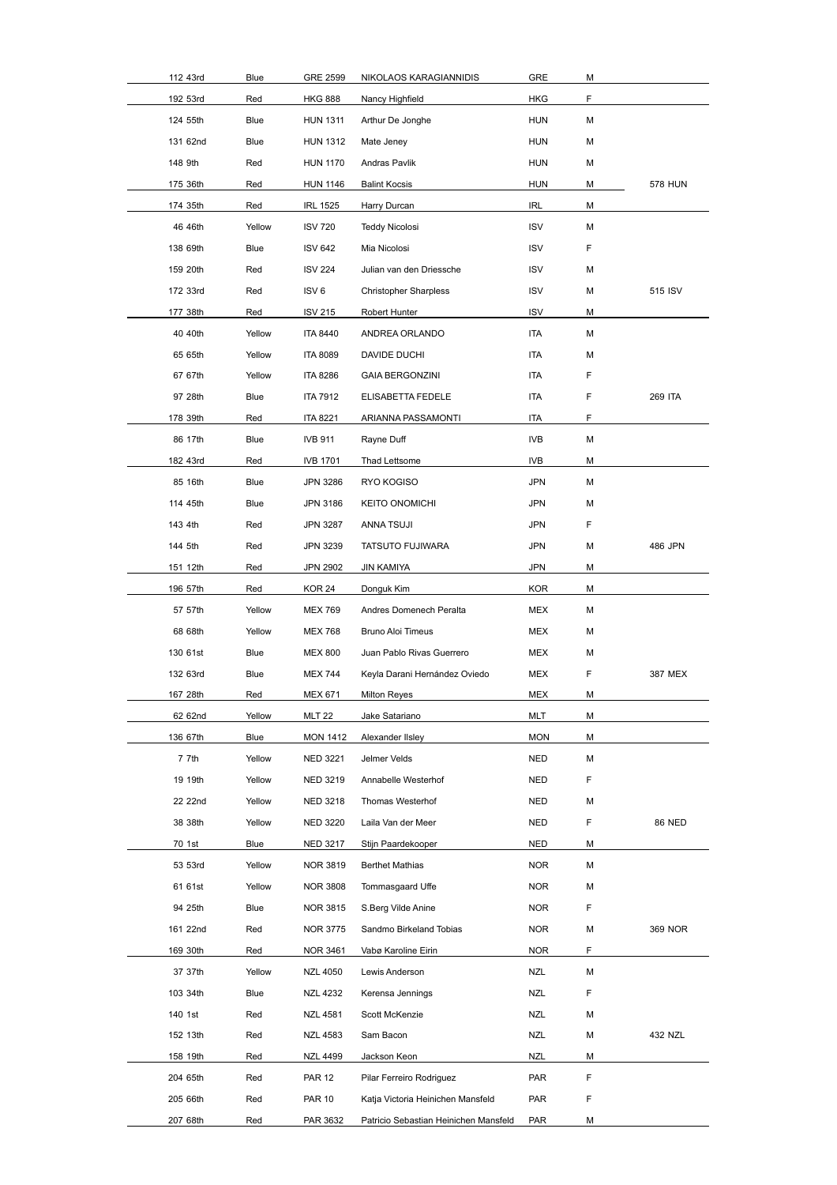| 112 43rd | Blue   | GRE 2599         | NIKOLAOS KARAGIANNIDIS                | GRE        | М  |                |
|----------|--------|------------------|---------------------------------------|------------|----|----------------|
| 192 53rd | Red    | <b>HKG 888</b>   | Nancy Highfield                       | <b>HKG</b> | F  |                |
| 124 55th | Blue   | <b>HUN 1311</b>  | Arthur De Jonghe                      | <b>HUN</b> | М  |                |
| 131 62nd | Blue   | <b>HUN 1312</b>  | Mate Jeney                            | <b>HUN</b> | М  |                |
| 148 9th  | Red    | <b>HUN 1170</b>  | Andras Pavlik                         | <b>HUN</b> | М  |                |
| 175 36th | Red    | <b>HUN 1146</b>  | <b>Balint Kocsis</b>                  | <b>HUN</b> | М  | 578 HUN        |
| 174 35th | Red    | <b>IRL 1525</b>  | Harry Durcan                          | IRL        | М  | <b>WINNER</b>  |
| 46 46th  | Yellow | <b>ISV 720</b>   | <b>Teddy Nicolosi</b>                 | <b>ISV</b> | М  |                |
| 138 69th | Blue   | <b>ISV 642</b>   | Mia Nicolosi                          | <b>ISV</b> | F  |                |
| 159 20th | Red    | <b>ISV 224</b>   | Julian van den Driessche              | <b>ISV</b> | М  |                |
| 172 33rd | Red    | ISV <sub>6</sub> | <b>Christopher Sharpless</b>          | <b>ISV</b> | М  | 515 ISV        |
| 177 38th | Red    | <b>ISV 215</b>   | Robert Hunter                         | <b>ISV</b> | М  |                |
| 40 40th  | Yellow | <b>ITA 8440</b>  | ANDREA ORLANDO                        | <b>ITA</b> | М  |                |
| 65 65th  | Yellow | <b>ITA 8089</b>  | DAVIDE DUCHI                          | <b>ITA</b> | М  |                |
| 67 67th  | Yellow | <b>ITA 8286</b>  | <b>GAIA BERGONZINI</b>                | ITA        | F  |                |
| 97 28th  | Blue   | <b>ITA 7912</b>  | ELISABETTA FEDELE                     | ITA        | F  | <b>269 ITA</b> |
| 178 39th | Red    | <b>ITA 8221</b>  | ARIANNA PASSAMONTI                    | <b>ITA</b> | F. |                |
| 86 17th  | Blue   | <b>IVB 911</b>   | Rayne Duff                            | IVB        | М  |                |
| 182 43rd | Red    | <b>IVB 1701</b>  | Thad Lettsome                         | <b>IVB</b> | М  |                |
| 85 16th  | Blue   | JPN 3286         | RYO KOGISO                            | JPN        | М  |                |
| 114 45th | Blue   | JPN 3186         | <b>KEITO ONOMICHI</b>                 | <b>JPN</b> | М  |                |
| 143 4th  | Red    | JPN 3287         | ANNA TSUJI                            | <b>JPN</b> | F  |                |
| 144 5th  | Red    | JPN 3239         | TATSUTO FUJIWARA                      | JPN        | М  | 486 JPN        |
| 151 12th | Red    | <b>JPN 2902</b>  | <b>JIN KAMIYA</b>                     | <b>JPN</b> | М  |                |
| 196 57th | Red    | KOR 24           | Donguk Kim                            | <b>KOR</b> | М  |                |
| 57 57th  | Yellow | <b>MEX 769</b>   | Andres Domenech Peralta               | MEX        | М  |                |
| 68 68th  | Yellow | <b>MEX 768</b>   | <b>Bruno Aloi Timeus</b>              | MEX        | М  |                |
| 130 61st | Blue   | <b>MEX 800</b>   | Juan Pablo Rivas Guerrero             | MEX        | М  |                |
| 132 63rd | Blue   | <b>MEX 744</b>   | Keyla Darani Hernández Oviedo         | MEX        | F  | 387 MEX        |
| 167 28th | Red    | <b>MEX 671</b>   | <b>Milton Reyes</b>                   | MEX        | М  |                |
| 62 62nd  | Yellow | <b>MLT 22</b>    | Jake Satariano                        | MLT        | М  |                |
| 136 67th | Blue   | <b>MON 1412</b>  | Alexander IIsley                      | <b>MON</b> | М  |                |
| 7 7th    | Yellow | NED 3221         | Jelmer Velds                          | NED        | М  | <b>WINNER</b>  |
| 19 19th  | Yellow | NED 3219         | Annabelle Westerhof                   | NED        | F  | <b>WINNER</b>  |
| 22 22nd  | Yellow | NED 3218         | Thomas Westerhof                      | NED        | М  | <b>WINNER</b>  |
| 38 38th  | Yellow | <b>NED 3220</b>  | Laila Van der Meer                    | NED        | F  | WINNER6 NED    |
| 70 1st   | Blue   | NED 3217         | Stijn Paardekooper                    | NED        | М  | WINNER         |
| 53 53rd  | Yellow | NOR 3819         | <b>Berthet Mathias</b>                | <b>NOR</b> | М  | WINNER         |
| 61 61st  | Yellow | <b>NOR 3808</b>  | Tommasgaard Uffe                      | <b>NOR</b> | М  | WINNER         |
| 94 25th  | Blue   | NOR 3815         | S.Berg Vilde Anine                    | NOR.       | F  | WINNER         |
| 161 22nd | Red    | <b>NOR 3775</b>  | Sandmo Birkeland Tobias               | <b>NOR</b> | М  | WINNBRG9 NOR   |
| 169 30th | Red    | NOR 3461         | Vabø Karoline Eirin                   | <b>NOR</b> | F  |                |
| 37 37th  | Yellow | <b>NZL 4050</b>  | Lewis Anderson                        | NZL        | М  |                |
| 103 34th | Blue   | NZL 4232         | Kerensa Jennings                      | NZL        | F  |                |
| 140 1st  | Red    | <b>NZL 4581</b>  | Scott McKenzie                        | NZL        | М  |                |
| 152 13th | Red    | <b>NZL 4583</b>  | Sam Bacon                             | NZL        | М  | 432 NZL        |
| 158 19th | Red    | <b>NZL 4499</b>  | Jackson Keon                          | NZL        | М  |                |
| 204 65th | Red    | <b>PAR 12</b>    | Pilar Ferreiro Rodriguez              | PAR        | F  |                |
|          |        | <b>PAR 10</b>    |                                       | PAR        | F  |                |
| 205 66th | Red    |                  | Katja Victoria Heinichen Mansfeld     |            |    |                |
| 207 68th | Red    | PAR 3632         | Patricio Sebastian Heinichen Mansfeld | PAR        | М  |                |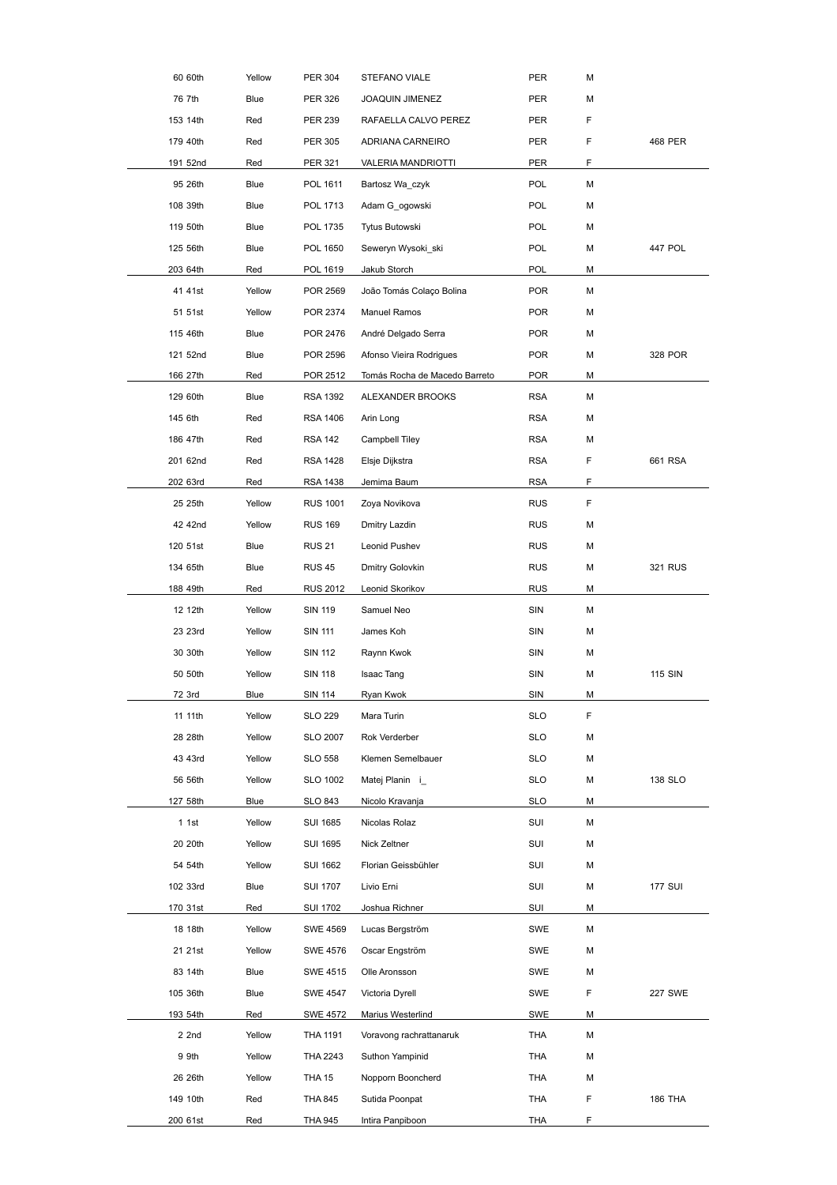| 60 60th  | Yellow      | <b>PER 304</b>  | STEFANO VIALE                 | PER        | М  |                |
|----------|-------------|-----------------|-------------------------------|------------|----|----------------|
| 76 7th   | Blue        | <b>PER 326</b>  | JOAQUIN JIMENEZ               | PER        | М  |                |
| 153 14th | Red         | <b>PER 239</b>  | RAFAELLA CALVO PEREZ          | PER        | F  |                |
| 179 40th | Red         | <b>PER 305</b>  | ADRIANA CARNEIRO              | PER        | F  | 468 PER        |
| 191 52nd | Red         | <b>PER 321</b>  | VALERIA MANDRIOTTI            | PER        | F  |                |
| 95 26th  | <b>Blue</b> | POL 1611        | Bartosz Wa czyk               | POL        | М  |                |
| 108 39th | Blue        | POL 1713        | Adam G ogowski                | <b>POL</b> | М  |                |
| 119 50th | Blue        | POL 1735        | Tytus Butowski                | POL        | М  |                |
| 125 56th | Blue        | POL 1650        | Seweryn Wysoki_ski            | <b>POL</b> | М  | 447 POL        |
| 203 64th | Red         | POL 1619        | Jakub Storch                  | <b>POL</b> | М  |                |
| 41 41st  | Yellow      | POR 2569        | João Tomás Colaço Bolina      | <b>POR</b> | М  |                |
| 51 51st  | Yellow      | POR 2374        | Manuel Ramos                  | <b>POR</b> | М  |                |
| 115 46th | Blue        | POR 2476        | André Delgado Serra           | <b>POR</b> | М  |                |
| 121 52nd | Blue        | POR 2596        | Afonso Vieira Rodrigues       | <b>POR</b> | М  | 328 POR        |
| 166 27th | Red         | POR 2512        | Tomás Rocha de Macedo Barreto | <b>POR</b> | м  |                |
| 129 60th | Blue        | <b>RSA 1392</b> | ALEXANDER BROOKS              | <b>RSA</b> | М  |                |
| 145 6th  | Red         | RSA 1406        | Arin Long                     | <b>RSA</b> | М  |                |
| 186 47th | Red         | <b>RSA 142</b>  | Campbell Tiley                | <b>RSA</b> | М  |                |
| 201 62nd | Red         | <b>RSA 1428</b> | Elsje Dijkstra                | <b>RSA</b> | F  | 661 RSA        |
| 202 63rd | Red         | RSA 1438        | Jemima Baum                   | <b>RSA</b> | F  |                |
| 25 25th  | Yellow      | <b>RUS 1001</b> | Zoya Novikova                 | <b>RUS</b> | F. | <b>WINNER</b>  |
| 42 42nd  | Yellow      | <b>RUS 169</b>  | Dmitry Lazdin                 | <b>RUS</b> | М  |                |
| 120 51st | Blue        | <b>RUS 21</b>   | Leonid Pushev                 | <b>RUS</b> | М  |                |
| 134 65th | Blue        | <b>RUS 45</b>   | Dmitry Golovkin               | <b>RUS</b> | М  | 321 RUS        |
| 188 49th | Red         | <b>RUS 2012</b> | Leonid Skorikov               | <b>RUS</b> | М  |                |
| 12 12th  | Yellow      | <b>SIN 119</b>  | Samuel Neo                    | SIN        | М  | <b>WINNER</b>  |
| 23 23rd  | Yellow      | <b>SIN 111</b>  | James Koh                     | SIN        | М  | <b>WINNER</b>  |
| 30 30th  | Yellow      | <b>SIN 112</b>  | Raynn Kwok                    | SIN        | М  | <b>WINNER</b>  |
| 50 50th  | Yellow      | <b>SIN 118</b>  | <b>Isaac Tang</b>             | SIN        | М  | WINNERS SIN    |
| 72 3rd   | Blue        | <b>SIN 114</b>  | Ryan Kwok                     | SIN        | М  | WINNER         |
| 11 11th  | Yellow      | <b>SLO 229</b>  | Mara Turin                    | <b>SLO</b> | F  |                |
| 28 28th  | Yellow      | <b>SLO 2007</b> | Rok Verderber                 | <b>SLO</b> | М  |                |
| 43 43rd  | Yellow      | <b>SLO 558</b>  | Klemen Semelbauer             | <b>SLO</b> | М  |                |
| 56 56th  | Yellow      | SLO 1002        | Matej Planin i                | <b>SLO</b> | М  | 138 SLO        |
| 127 58th | Blue        | SLO 843         | Nicolo Kravanja               | <b>SLO</b> | М  |                |
| 1.1st    | Yellow      | <b>SUI 1685</b> | Nicolas Rolaz                 | SUI        | М  | <b>WINNER</b>  |
| 20 20th  | Yellow      | <b>SUI 1695</b> | Nick Zeltner                  | SUI        | М  | <b>WINNER</b>  |
| 54 54th  | Yellow      | <b>SUI 1662</b> | Florian Geissbühler           | SUI        | М  | WINNER         |
| 102 33rd | Blue        | <b>SUI 1707</b> | Livio Erni                    | SUI        | М  | WINNER7 SUI    |
| 170 31st | Red         | <b>SUI 1702</b> | Joshua Richner                | SUI        | м  | <b>WINNER</b>  |
| 18 18th  | Yellow      | <b>SWE 4569</b> | Lucas Bergström               | <b>SWE</b> | М  |                |
| 21 21st  | Yellow      | <b>SWE 4576</b> | Oscar Engström                | SWE        | М  | <b>WINNER</b>  |
| 83 14th  | Blue        | SWE 4515        | Olle Aronsson                 | <b>SWE</b> | М  |                |
| 105 36th | Blue        | SWE 4547        | Victoria Dyrell               | <b>SWE</b> | F  | WINNERS7 SWE   |
| 193 54th | Red         | <b>SWE 4572</b> | Marius Westerlind             | <b>SWE</b> | М  | <b>WINNER</b>  |
| $2$ 2nd  | Yellow      | <b>THA 1191</b> | Voravong rachrattanaruk       | THA        | М  |                |
| 9 9th    | Yellow      | THA 2243        | Suthon Yampinid               | THA        | М  |                |
| 26 26th  | Yellow      | <b>THA 15</b>   | Nopporn Booncherd             | THA        | М  |                |
| 149 10th | Red         | <b>THA 845</b>  | Sutida Poonpat                | THA        | F  | <b>186 THA</b> |
| 200 61st | Red         | THA 945         | Intira Panpiboon              | THA        | F  |                |